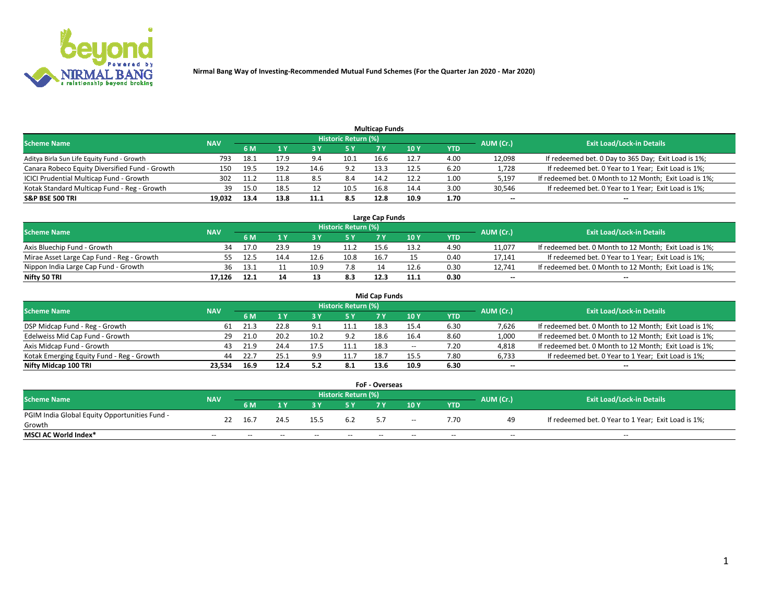

| <b>Multicap Funds</b>                          |            |      |      |      |                     |      |      |      |           |                                                        |  |  |  |  |
|------------------------------------------------|------------|------|------|------|---------------------|------|------|------|-----------|--------------------------------------------------------|--|--|--|--|
| <b>Scheme Name</b>                             | <b>NAV</b> |      |      |      | Historic Return (%) |      |      |      | AUM (Cr.) | <b>Exit Load/Lock-in Details</b>                       |  |  |  |  |
|                                                |            | 6 M  |      |      | 5 Y                 | 7 Y  | 10Y  | YTD  |           |                                                        |  |  |  |  |
| Aditya Birla Sun Life Equity Fund - Growth     | 793        | 18.1 | 17.9 |      | 10.1                | 16.6 | 12.7 | 4.00 | 12,098    | If redeemed bet. 0 Day to 365 Day; Exit Load is 1%;    |  |  |  |  |
| Canara Robeco Equity Diversified Fund - Growth | 150        | 19.5 | 19.2 | 14.6 | 9.2                 | 13.3 | 12.5 | 6.20 | 1,728     | If redeemed bet. 0 Year to 1 Year; Exit Load is 1%;    |  |  |  |  |
| ICICI Prudential Multicap Fund - Growth        | 302        | 11.2 | 11.8 |      | 8.4                 | 14.2 | 12.2 | 1.00 | 5,197     | If redeemed bet. 0 Month to 12 Month; Exit Load is 1%; |  |  |  |  |
| Kotak Standard Multicap Fund - Reg - Growth    | 39         | 15.0 | 18.5 |      | 10.5                | 16.8 | 14.4 | 3.00 | 30,546    | If redeemed bet. 0 Year to 1 Year; Exit Load is 1%;    |  |  |  |  |
| <b>S&amp;P BSE 500 TRI</b>                     | 19.032     | 13.4 | 13.8 | 11.1 | 8.5                 | 12.8 | 10.9 | 1.70 | $\sim$    | $- -$                                                  |  |  |  |  |

| Large Cap Funds                           |            |      |      |      |                     |      |      |      |           |                                                        |  |  |  |  |
|-------------------------------------------|------------|------|------|------|---------------------|------|------|------|-----------|--------------------------------------------------------|--|--|--|--|
| Scheme Name                               | <b>NAV</b> |      |      |      | Historic Return (%) |      |      |      | AUM (Cr.) | <b>Exit Load/Lock-in Details</b>                       |  |  |  |  |
|                                           |            | 6 M  |      |      | 5 Y                 |      | 10Y  | YTD  |           |                                                        |  |  |  |  |
| Axis Bluechip Fund - Growth               |            | 17.0 | 23.9 | 10   | 11.2                |      | 13.2 | 4.90 | 11,077    | If redeemed bet. 0 Month to 12 Month; Exit Load is 1%; |  |  |  |  |
| Mirae Asset Large Cap Fund - Reg - Growth |            | 12.5 | 14.4 | 12.6 | 10.8                | 16.7 |      | 0.40 | 17,141    | If redeemed bet. 0 Year to 1 Year; Exit Load is 1%;    |  |  |  |  |
| Nippon India Large Cap Fund - Growth      | 36         | د.13 |      | 10.9 | 7.8                 |      | 12.6 | 0.30 | 12.741    | If redeemed bet. 0 Month to 12 Month; Exit Load is 1%; |  |  |  |  |
| Nifty 50 TRI                              | 17.126     | 12.1 |      |      | 8.3                 | 12.3 | 11.1 | 0.30 | $\sim$    | $\sim$                                                 |  |  |  |  |

| <b>Mid Cap Funds</b>                      |            |      |      |      |                     |      |      |            |           |                                                        |  |  |  |  |
|-------------------------------------------|------------|------|------|------|---------------------|------|------|------------|-----------|--------------------------------------------------------|--|--|--|--|
| <b>Scheme Name</b>                        | <b>NAV</b> |      |      |      | Historic Return (%) |      |      |            | AUM (Cr.) | <b>Exit Load/Lock-in Details</b>                       |  |  |  |  |
|                                           |            | 6 M  |      |      | 5 Y                 |      | 10 Y | <b>YTD</b> |           |                                                        |  |  |  |  |
| DSP Midcap Fund - Reg - Growth            | 61         | 21.3 | 22.8 | 9.1  | 11.1                | 18.3 | 15.4 | 6.30       | 7,626     | If redeemed bet. 0 Month to 12 Month; Exit Load is 1%; |  |  |  |  |
| Edelweiss Mid Cap Fund - Growth           | 29.        | 21.0 | 20.2 | 10.2 | 9.2                 | 18.6 | 16.4 | 8.60       | 1,000     | If redeemed bet. 0 Month to 12 Month; Exit Load is 1%; |  |  |  |  |
| Axis Midcap Fund - Growth                 | 43         | 21.9 | 24.4 | 17.5 | 11.1                | 18.3 | $-$  | 7.20       | 4,818     | If redeemed bet. 0 Month to 12 Month; Exit Load is 1%; |  |  |  |  |
| Kotak Emerging Equity Fund - Reg - Growth | 44         |      | 25.1 | 9.9  | 11.7                | 18.7 | 15.5 | 7.80       | 6,733     | If redeemed bet. 0 Year to 1 Year; Exit Load is 1%;    |  |  |  |  |
| Nifty Midcap 100 TRI                      | 23.534     | 16.9 | 12.4 | 5.2  | 8.1                 | 13.6 | 10.9 | 6.30       | $\sim$    | $\sim$                                                 |  |  |  |  |

| <b>FoF - Overseas</b>                         |            |                                                                             |       |       |       |    |        |            |       |                                                     |  |  |  |
|-----------------------------------------------|------------|-----------------------------------------------------------------------------|-------|-------|-------|----|--------|------------|-------|-----------------------------------------------------|--|--|--|
| <b>Scheme Name</b>                            | <b>NAV</b> | <b>Historic Return (%)</b><br>AUM (Cr.)<br><b>Exit Load/Lock-in Details</b> |       |       |       |    |        |            |       |                                                     |  |  |  |
|                                               |            | 6 M                                                                         |       |       |       |    | 10Y    | <b>YTD</b> |       |                                                     |  |  |  |
| PGIM India Global Equity Opportunities Fund - | 22         | -16.7                                                                       | 24.5  | 15.5  | 6.2   | 57 | $\sim$ | 7.70       | 49    | If redeemed bet. 0 Year to 1 Year; Exit Load is 1%; |  |  |  |
| Growth                                        |            |                                                                             |       |       |       |    |        |            |       |                                                     |  |  |  |
| <b>MSCI AC World Index*</b>                   | $- -$      | $- -$                                                                       | $- -$ | $- -$ | $- -$ | -- | $- -$  | $- -$      | $- -$ | $- -$                                               |  |  |  |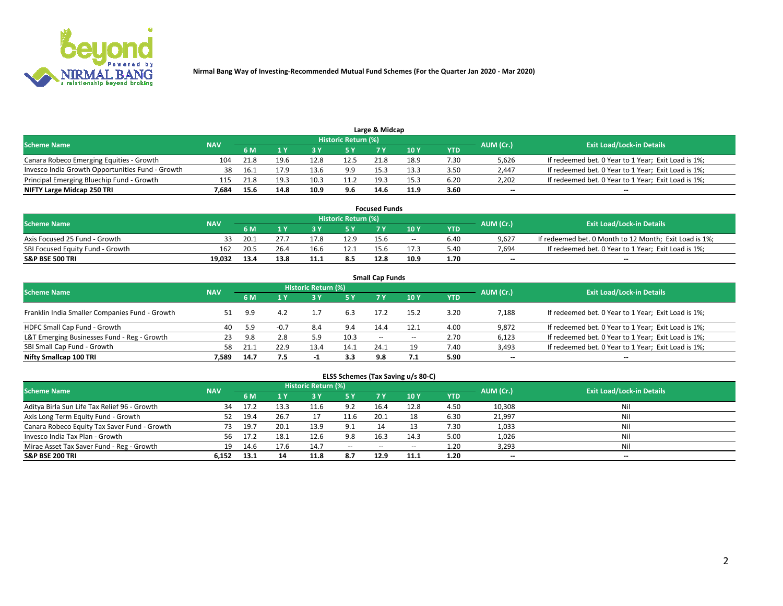

| Large & Midcap<br>Historic Return (%)            |            |                                  |      |      |      |      |      |      |                          |                                                     |  |  |  |  |
|--------------------------------------------------|------------|----------------------------------|------|------|------|------|------|------|--------------------------|-----------------------------------------------------|--|--|--|--|
| <b>Scheme Name</b>                               | AUM (Cr.)  | <b>Exit Load/Lock-in Details</b> |      |      |      |      |      |      |                          |                                                     |  |  |  |  |
|                                                  | <b>NAV</b> | 6 M                              |      |      | 5 Y  |      | 10Y  | YTD. |                          |                                                     |  |  |  |  |
| Canara Robeco Emerging Equities - Growth         | 104        | 21.8                             | 19.6 | 12.8 | 12.5 | 21.8 | 18.9 | 7.30 | 5,626                    | If redeemed bet. 0 Year to 1 Year; Exit Load is 1%; |  |  |  |  |
| Invesco India Growth Opportunities Fund - Growth |            |                                  |      | 13.6 | 9.9  | 15.3 | 13.3 | 3.50 | 2,447                    | If redeemed bet. 0 Year to 1 Year; Exit Load is 1%; |  |  |  |  |
| Principal Emerging Bluechip Fund - Growth        | 115        | 21.8                             | 19.3 | 10.3 | 11.2 | 19.3 | 15.3 | 6.20 | 2,202                    | If redeemed bet. 0 Year to 1 Year; Exit Load is 1%; |  |  |  |  |
| NIFTY Large Midcap 250 TRI                       | 7.684      | 15.6                             | 14.8 | 10.9 | 9.6  | 14.6 | 11.9 | 3.60 | $\overline{\phantom{a}}$ | $- -$                                               |  |  |  |  |

| <b>Focused Funds</b>             |            |            |      |      |                     |      |       |      |           |                                                        |  |  |  |
|----------------------------------|------------|------------|------|------|---------------------|------|-------|------|-----------|--------------------------------------------------------|--|--|--|
| <b>Scheme Name</b>               | <b>NAV</b> |            |      |      | Historic Return (%) |      |       |      |           | <b>Exit Load/Lock-in Details</b>                       |  |  |  |
|                                  |            | <b>6 M</b> |      |      |                     |      | 10 Y  | YTD  | AUM (Cr.) |                                                        |  |  |  |
| Axis Focused 25 Fund - Growth    | 33         | -20.1      |      | 17.8 | 12.9                | 15.6 | $- -$ | 6.40 | 9.627     | If redeemed bet. 0 Month to 12 Month; Exit Load is 1%; |  |  |  |
| SBI Focused Equity Fund - Growth | 162        | 20.5       | 26.4 |      |                     | 15.6 | 17.3  | 5.40 | 7.694     | If redeemed bet. 0 Year to 1 Year; Exit Load is 1%;    |  |  |  |
| <b>S&amp;P BSE 500 TRI</b>       | 19.032     | 13.4       | 13.8 |      | 8.5                 | 12.8 | 10.9  | 1.70 | $\sim$    | $- -$                                                  |  |  |  |

| <b>Small Cap Funds</b>                         |            |      |        |                            |      |                          |       |            |                          |                                                     |  |  |  |
|------------------------------------------------|------------|------|--------|----------------------------|------|--------------------------|-------|------------|--------------------------|-----------------------------------------------------|--|--|--|
| <b>Scheme Name</b>                             | <b>NAV</b> |      |        | <b>Historic Return (%)</b> |      |                          |       |            | AUM (Cr.)                | <b>Exit Load/Lock-in Details</b>                    |  |  |  |
|                                                |            | 6 M  |        |                            | 5 Y  | 7 Y                      | 10Y   | <b>YTD</b> |                          |                                                     |  |  |  |
| Franklin India Smaller Companies Fund - Growth |            | 9.9  | 4.2    |                            | 6.3  | 17.2                     | 15.2  | 3.20       | 7,188                    | If redeemed bet. 0 Year to 1 Year; Exit Load is 1%; |  |  |  |
| HDFC Small Cap Fund - Growth                   | 40         | 5.9  | $-0.7$ | 8.4                        | 9.4  | 14.4                     | 12.1  | 4.00       | 9,872                    | If redeemed bet. 0 Year to 1 Year; Exit Load is 1%; |  |  |  |
| L&T Emerging Businesses Fund - Reg - Growth    | 23         | 9.8  | 2.8    |                            | 10.3 | $\overline{\phantom{a}}$ | $- -$ | 2.70       | 6,123                    | If redeemed bet. 0 Year to 1 Year; Exit Load is 1%; |  |  |  |
| SBI Small Cap Fund - Growth                    | 58         |      | 22.9   | 13.4                       | 14.1 | 24.1                     | 19    | 7.40       | 3,493                    | If redeemed bet. 0 Year to 1 Year; Exit Load is 1%; |  |  |  |
| Nifty Smallcap 100 TRI                         | 7.589      | 14.7 | 7.5    | -1                         | 3.3  | 9.8                      |       | 5.90       | $\overline{\phantom{a}}$ | $\overline{\phantom{a}}$                            |  |  |  |

## **ELSS Schemes (Tax Saving u/s 80-C)**

| <b>Scheme Name</b>                           | <b>NAV</b> |      |      | <b>Historic Return (%)</b> |           |      |      |      | AUM (Cr.) | <b>Exit Load/Lock-in Details</b> |
|----------------------------------------------|------------|------|------|----------------------------|-----------|------|------|------|-----------|----------------------------------|
|                                              |            | 6 M  | 1 Y  | 3 Y                        | <b>5Y</b> | 7 Y  | 10Y  | YTD  |           |                                  |
| Aditya Birla Sun Life Tax Relief 96 - Growth | 34         | 17.2 | 13.3 | 11.6                       | 9.2       | 16.4 | 12.8 | 4.50 | 10,308    | Nil                              |
| Axis Long Term Equity Fund - Growth          | 52         | 19.4 | 26.7 |                            | 11.6      | 20.1 | 18   | 6.30 | 21,997    | Nil                              |
| Canara Robeco Equity Tax Saver Fund - Growth | 73         | 19.7 | 20.1 | 13.9                       | 9.1       | 14   |      | 7.30 | 1,033     | Nil                              |
| Invesco India Tax Plan - Growth              | 56         | 17.2 | 18.1 | 12.6                       | 9.8       | 16.3 | 14.3 | 5.00 | 1,026     | Nil                              |
| Mirae Asset Tax Saver Fund - Reg - Growth    | 19         | 14.6 | 17.6 | 14.7                       | $- -$     | --   | --   | 1.20 | 3,293     | Nil                              |
| S&P BSE 200 TRI                              | 6.152      | 13.1 | --   | 11.8                       | 8.7       | 12.9 | 11.1 | 1.20 | $-$       | $- -$                            |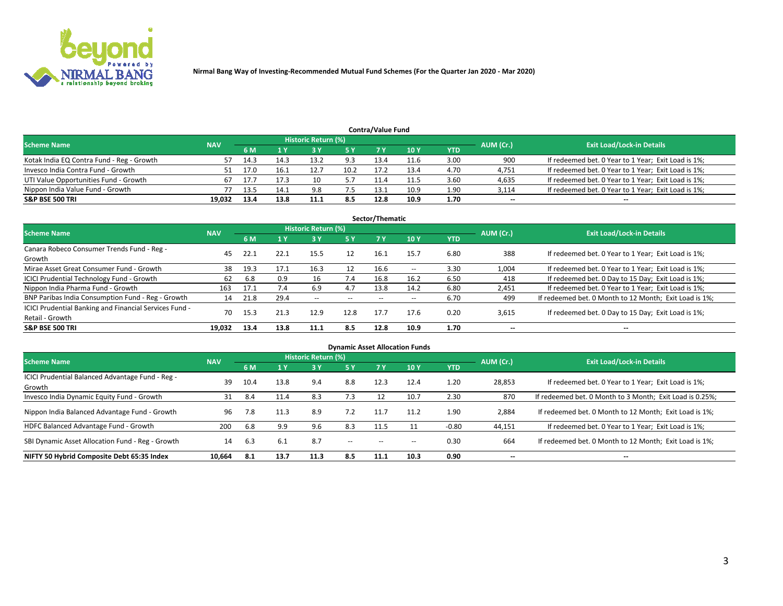

| <b>Contra/Value Fund</b>                                                                                        |        |      |      |      |      |      |      |            |        |                                                     |  |  |  |  |
|-----------------------------------------------------------------------------------------------------------------|--------|------|------|------|------|------|------|------------|--------|-----------------------------------------------------|--|--|--|--|
| <b>Historic Return (%)</b><br><b>Exit Load/Lock-in Details</b><br>AUM (Cr.)<br><b>Scheme Name</b><br><b>NAV</b> |        |      |      |      |      |      |      |            |        |                                                     |  |  |  |  |
|                                                                                                                 |        | 6 M  |      | 3 Y  | 5 Y  | 7 V  | 10Y  | <b>YTD</b> |        |                                                     |  |  |  |  |
| Kotak India EQ Contra Fund - Reg - Growth                                                                       | 57     | 14.3 | 14.3 | 13.2 | 9.3  | 13.4 | 11.6 | 3.00       | 900    | If redeemed bet. 0 Year to 1 Year; Exit Load is 1%; |  |  |  |  |
| Invesco India Contra Fund - Growth                                                                              |        | 17.0 | 16.1 | 12.7 | 10.2 | 17.2 | 13.4 | 4.70       | 4,751  | If redeemed bet. 0 Year to 1 Year; Exit Load is 1%; |  |  |  |  |
| UTI Value Opportunities Fund - Growth                                                                           |        |      |      | 10   |      | 11.4 | 11.5 | 3.60       | 4,635  | If redeemed bet. 0 Year to 1 Year; Exit Load is 1%; |  |  |  |  |
| Nippon India Value Fund - Growth                                                                                |        | 13.5 | 14.7 | 9.8  | 7.5  | 13.1 | 10.9 | 1.90       | 3,114  | If redeemed bet. 0 Year to 1 Year; Exit Load is 1%; |  |  |  |  |
| <b>S&amp;P BSE 500 TRI</b>                                                                                      | 19,032 | 13.4 | 13.8 | 11.1 | 8.5  | 12.8 | 10.9 | 1.70       | $\sim$ | $- -$                                               |  |  |  |  |

| Sector/Thematic                                                           |            |      |      |                     |       |       |               |            |           |                                                        |  |  |  |  |
|---------------------------------------------------------------------------|------------|------|------|---------------------|-------|-------|---------------|------------|-----------|--------------------------------------------------------|--|--|--|--|
| <b>Scheme Name</b>                                                        | <b>NAV</b> |      |      | Historic Return (%) |       |       |               |            | AUM (Cr.) | <b>Exit Load/Lock-in Details</b>                       |  |  |  |  |
|                                                                           |            | 6 M  | 1 Y  | <b>3Y</b>           | 5 Y   | 7 Y   | 10 Y          | <b>YTD</b> |           |                                                        |  |  |  |  |
| Canara Robeco Consumer Trends Fund - Reg -<br>Growth                      | 45         | 22.1 | 22.1 | 15.5                | 12    | 16.1  | 15.7          | 6.80       | 388       | If redeemed bet. 0 Year to 1 Year; Exit Load is 1%;    |  |  |  |  |
| Mirae Asset Great Consumer Fund - Growth                                  | 38         | 19.3 |      | 16.3                | 12    | 16.6  | $\sim$ $\sim$ | 3.30       | 1,004     | If redeemed bet. 0 Year to 1 Year; Exit Load is 1%;    |  |  |  |  |
| ICICI Prudential Technology Fund - Growth                                 | 62         | 6.8  | 0.9  | 16                  | 7.4   | 16.8  | 16.2          | 6.50       | 418       | If redeemed bet. 0 Day to 15 Day; Exit Load is 1%;     |  |  |  |  |
| Nippon India Pharma Fund - Growth                                         | 163        | 17.1 | 7.4  | 6.9                 | 4.7   | 13.8  | 14.2          | 6.80       | 2,451     | If redeemed bet. 0 Year to 1 Year; Exit Load is 1%;    |  |  |  |  |
| BNP Paribas India Consumption Fund - Reg - Growth                         | 14         | 21.8 | 29.4 | $\sim$ $\sim$       | $- -$ | $- -$ | $- -$         | 6.70       | 499       | If redeemed bet. 0 Month to 12 Month; Exit Load is 1%; |  |  |  |  |
| ICICI Prudential Banking and Financial Services Fund -<br>Retail - Growth | 70         | 15.3 | 21.3 | 12.9                | 12.8  | 17.7  | 17.6          | 0.20       | 3,615     | If redeemed bet. 0 Day to 15 Day; Exit Load is 1%;     |  |  |  |  |
| <b>S&amp;P BSE 500 TRI</b>                                                | 19.032     | 13.4 | 13.8 | 11.1                | 8.5   | 12.8  | 10.9          | 1.70       | --        | $\overline{\phantom{a}}$                               |  |  |  |  |

| <b>Dynamic Asset Allocation Funds</b>                      |            |      |      |                     |               |           |      |            |                          |                                                          |  |  |  |
|------------------------------------------------------------|------------|------|------|---------------------|---------------|-----------|------|------------|--------------------------|----------------------------------------------------------|--|--|--|
| <b>Scheme Name</b>                                         | <b>NAV</b> |      |      | Historic Return (%) |               |           |      |            | AUM (Cr.)                | <b>Exit Load/Lock-in Details</b>                         |  |  |  |
|                                                            |            | 6 M  |      | 3 Y                 | 5 Y           | <b>7Y</b> | 10Y  | <b>YTD</b> |                          |                                                          |  |  |  |
| ICICI Prudential Balanced Advantage Fund - Reg -<br>Growth | 39         | 10.4 | 13.8 | 9.4                 | 8.8           | 12.3      | 12.4 | 1.20       | 28,853                   | If redeemed bet. 0 Year to 1 Year; Exit Load is 1%;      |  |  |  |
| Invesco India Dynamic Equity Fund - Growth                 | 31         | 8.4  | 11.4 | 8.3                 | 7.3           | 12        | 10.7 | 2.30       | 870                      | If redeemed bet. 0 Month to 3 Month; Exit Load is 0.25%; |  |  |  |
| Nippon India Balanced Advantage Fund - Growth              | 96         | 7.8  | 11.3 | 8.9                 | 7.2           | 11.7      | 11.2 | 1.90       | 2,884                    | If redeemed bet. 0 Month to 12 Month; Exit Load is 1%;   |  |  |  |
| HDFC Balanced Advantage Fund - Growth                      | 200        | 6.8  | 9.9  | 9.6                 | 8.3           | 11.5      |      | $-0.80$    | 44,151                   | If redeemed bet. 0 Year to 1 Year; Exit Load is 1%;      |  |  |  |
| SBI Dynamic Asset Allocation Fund - Reg - Growth           | 14         | 6.3  | 6.1  | 8.7                 | $\sim$ $\sim$ | $- -$     | --   | 0.30       | 664                      | If redeemed bet. 0 Month to 12 Month; Exit Load is 1%;   |  |  |  |
| NIFTY 50 Hybrid Composite Debt 65:35 Index                 | 10,664     | -8.1 | 13.7 | 11.3                | 8.5           | 11.1      | 10.3 | 0.90       | $\overline{\phantom{a}}$ | $- -$                                                    |  |  |  |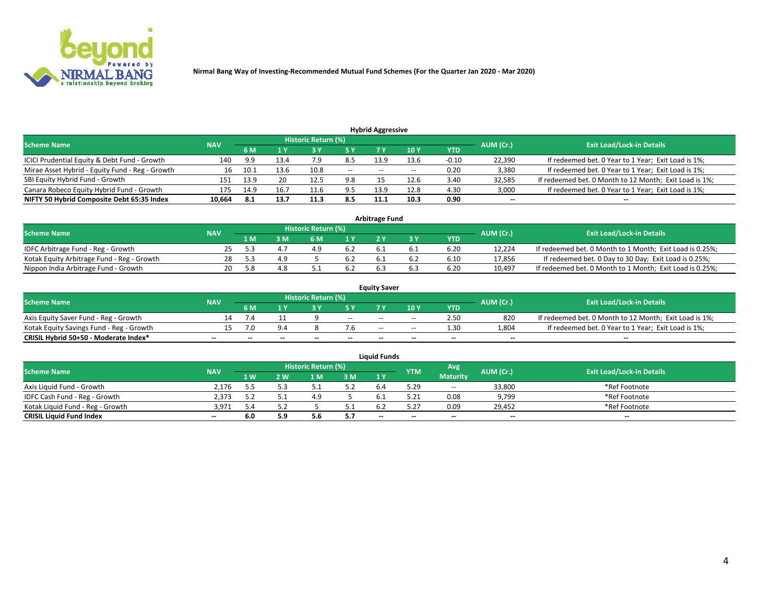

| <b>Hybrid Aggressive</b>                        |            |                                  |      |       |       |       |                 |         |                          |                                                        |  |  |  |  |
|-------------------------------------------------|------------|----------------------------------|------|-------|-------|-------|-----------------|---------|--------------------------|--------------------------------------------------------|--|--|--|--|
| <b>Scheme Name</b>                              | AUM (Cr.)  | <b>Exit Load/Lock-in Details</b> |      |       |       |       |                 |         |                          |                                                        |  |  |  |  |
|                                                 | <b>NAV</b> | 6 M                              |      |       | 5 Y   | 7 Y   | 10 <sub>Y</sub> | YTD     |                          |                                                        |  |  |  |  |
| ICICI Prudential Equity & Debt Fund - Growth    | 140        | 9.9                              | 13.4 | , , , | 8.5   | 13.9  | 13.6            | $-0.10$ | 22,390                   | If redeemed bet. 0 Year to 1 Year; Exit Load is 1%;    |  |  |  |  |
| Mirae Asset Hybrid - Equity Fund - Reg - Growth |            | 10.1                             | 13.6 | 10.8  | $- -$ | $- -$ | --              | 0.20    | 3,380                    | If redeemed bet. 0 Year to 1 Year; Exit Load is 1%;    |  |  |  |  |
| SBI Equity Hybrid Fund - Growth                 | 151        | 13.9                             | 20   | 12.5  | 9.8   |       | 12.6            | 3.40    | 32,585                   | If redeemed bet. 0 Month to 12 Month; Exit Load is 1%; |  |  |  |  |
| Canara Robeco Equity Hybrid Fund - Growth       | 175        | 14.9                             | 16.7 | 11.6  | 9.5   | 13.9  | 12.8            | 4.30    | 3,000                    | If redeemed bet. 0 Year to 1 Year; Exit Load is 1%;    |  |  |  |  |
| NIFTY 50 Hybrid Composite Debt 65:35 Index      | 10,664     | 8.1                              | 13.7 | 11.3  | 8.5   | 11.1  | 10.3            | 0.90    | $\overline{\phantom{a}}$ | $- -$                                                  |  |  |  |  |

|                                            |            |                                  |     |     |      | <b>Arbitrage Fund</b> |      |        |                                                          |
|--------------------------------------------|------------|----------------------------------|-----|-----|------|-----------------------|------|--------|----------------------------------------------------------|
| Scheme Name                                | AUM (Cr.)  | <b>Exit Load/Lock-in Details</b> |     |     |      |                       |      |        |                                                          |
|                                            | <b>NAV</b> | 1 M                              | ያ M | 6 M |      |                       | YTD  |        |                                                          |
| IDFC Arbitrage Fund - Reg - Growth         | 25         |                                  |     |     | -6.2 |                       | 6.20 | 12.224 | If redeemed bet. 0 Month to 1 Month; Exit Load is 0.25%; |
| Kotak Equity Arbitrage Fund - Reg - Growth | 28         |                                  |     |     | 6.2  |                       | 6.10 | 17,856 | If redeemed bet. 0 Day to 30 Day; Exit Load is 0.25%;    |
| Nippon India Arbitrage Fund - Growth       | 20         |                                  |     |     | 6.2  |                       | 6.20 | 10.497 | If redeemed bet. 0 Month to 1 Month; Exit Load is 0.25%; |

|                                          |            |           |                                  |                          |                          | <b>Equity Saver</b> |        |            |                          |                                                        |
|------------------------------------------|------------|-----------|----------------------------------|--------------------------|--------------------------|---------------------|--------|------------|--------------------------|--------------------------------------------------------|
| Scheme Name                              | <b>NAV</b> | AUM (Cr.) | <b>Exit Load/Lock-in Details</b> |                          |                          |                     |        |            |                          |                                                        |
|                                          |            | 6 M       |                                  |                          |                          |                     | 10 Y   | <b>YTD</b> |                          |                                                        |
| Axis Equity Saver Fund - Reg - Growth    |            |           |                                  |                          | $\sim$                   | $- -$               | $\sim$ | 2.50       | 820                      | If redeemed bet. 0 Month to 12 Month; Exit Load is 1%; |
| Kotak Equity Savings Fund - Reg - Growth |            | 7.0       | 9.4                              |                          |                          | $- -$               | $- -$  | 1.30       | 1,804                    | If redeemed bet. 0 Year to 1 Year; Exit Load is 1%;    |
| CRISIL Hybrid 50+50 - Moderate Index*    |            | --        | $-$                              | $\overline{\phantom{a}}$ | $\overline{\phantom{a}}$ | --                  | --     | $\sim$     | $\overline{\phantom{a}}$ | $-$                                                    |

| <b>Liquid Funds</b>              |            |      |     |                            |     |        |            |                 |           |                                  |  |  |  |  |
|----------------------------------|------------|------|-----|----------------------------|-----|--------|------------|-----------------|-----------|----------------------------------|--|--|--|--|
| Scheme Name                      | <b>NAV</b> |      |     | <b>Historic Return (%)</b> |     |        | <b>YTM</b> | Avg             | AUM (Cr.) | <b>Exit Load/Lock-in Details</b> |  |  |  |  |
|                                  |            | 1 W. | 2 W | 1 M                        | 3 M | 1 Y    |            | <b>Maturity</b> |           |                                  |  |  |  |  |
| Axis Liquid Fund - Growth        | 2,176      |      |     |                            | 5.2 |        | 5.29       | $\sim$          | 33,800    | *Ref Footnote                    |  |  |  |  |
| IDFC Cash Fund - Reg - Growth    | 2.373      |      |     | 4.9                        |     |        | 5.21       | 0.08            | 9,799     | *Ref Footnote                    |  |  |  |  |
| Kotak Liquid Fund - Reg - Growth | 3,971      |      |     |                            | ـ . |        |            | 0.09            | 29,452    | *Ref Footnote                    |  |  |  |  |
| <b>CRISIL Liquid Fund Index</b>  | $\sim$     | 6.0  | 5.9 |                            | 5.7 | $\sim$ | $-$        | $\sim$          | $\sim$    | $\sim$                           |  |  |  |  |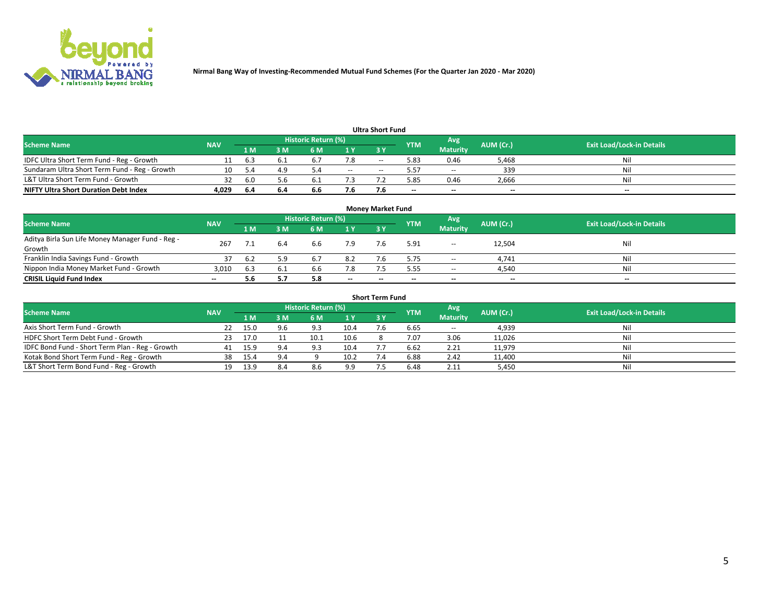

|                                               |            |      |     |                     |        | <b>Ultra Short Fund</b> |            |                          |           |                                  |
|-----------------------------------------------|------------|------|-----|---------------------|--------|-------------------------|------------|--------------------------|-----------|----------------------------------|
| <b>Scheme Name</b>                            | <b>NAV</b> |      |     | Historic Return (%) |        |                         | <b>YTM</b> | Avg                      | AUM (Cr.) | <b>Exit Load/Lock-in Details</b> |
|                                               |            | 1 M' | 3 M | 6 M                 | 1 Y    | 3 Y                     |            | <b>Maturity</b>          |           |                                  |
| IDFC Ultra Short Term Fund - Reg - Growth     |            | 6.3  |     |                     | 1.8    | $-$                     | 5.83       | 0.46                     | 5.468     | Nil                              |
| Sundaram Ultra Short Term Fund - Reg - Growth |            |      | 4.9 |                     | $\sim$ | --                      | 57ء        | $\overline{\phantom{a}}$ | 339       | Nil                              |
| L&T Ultra Short Term Fund - Growth            | 32         | -6.0 | 5.6 |                     |        |                         | 5.85       | 0.46                     | 2,666     | Nil                              |
| <b>NIFTY Ultra Short Duration Debt Index</b>  | 4,029      | -6.4 | 6.4 | 6.6                 | 7.6    |                         | --         | $-$                      | $- -$     | $- -$                            |

| <b>Money Market Fund</b>                         |            |     |     |                     |           |    |                          |                 |           |                                  |  |  |  |
|--------------------------------------------------|------------|-----|-----|---------------------|-----------|----|--------------------------|-----------------|-----------|----------------------------------|--|--|--|
| <b>Scheme Name</b>                               | <b>NAV</b> |     |     | Historic Return (%) |           |    | <b>YTM</b>               | 'Avg            | AUM (Cr.) | <b>Exit Load/Lock-in Details</b> |  |  |  |
|                                                  |            | 1 M | 3 M | 6 M                 | <b>1Y</b> | 3Y |                          | <b>Maturity</b> |           |                                  |  |  |  |
| Aditya Birla Sun Life Money Manager Fund - Reg - | 267        |     | 6.4 | 6.6                 | 7.9       |    | 5.91                     | $\sim$          | 12,504    | Nil                              |  |  |  |
| Growth                                           |            |     |     |                     |           |    |                          |                 |           |                                  |  |  |  |
| Franklin India Savings Fund - Growth             |            | 6.2 | 5.9 | 6.7                 | 8.2       |    | 5.75                     | $\sim$          | 4,741     | Nil                              |  |  |  |
| Nippon India Money Market Fund - Growth          | 3,010      | 6.3 | 6.1 | 6.6                 | 7.8       |    | 5.55                     | $\sim$          | 4,540     | Nil                              |  |  |  |
| <b>CRISIL Liquid Fund Index</b>                  | $- -$      | 5.6 |     | 5.8                 | $\sim$    | -- | $\overline{\phantom{a}}$ | $\sim$          | $\sim$    | $\sim$                           |  |  |  |

| <b>Short Term Fund</b>                          |            |      |     |                     |      |    |            |                 |           |                                  |  |  |  |  |
|-------------------------------------------------|------------|------|-----|---------------------|------|----|------------|-----------------|-----------|----------------------------------|--|--|--|--|
| <b>Scheme Name</b>                              | <b>NAV</b> |      |     | Historic Return (%) |      |    | <b>YTM</b> | Avg             | AUM (Cr.) | <b>Exit Load/Lock-in Details</b> |  |  |  |  |
|                                                 |            | 1 M  | 3 M | 6 M                 | 1Y   | 3Y |            | <b>Maturity</b> |           |                                  |  |  |  |  |
| Axis Short Term Fund - Growth                   |            | 15.0 | 9.6 | 9.3                 | 10.4 |    | 6.65       | $-$             | 4,939     | Nil                              |  |  |  |  |
| HDFC Short Term Debt Fund - Growth              | -23        | 17.0 |     | 10.1                | 10.6 |    | 7.07       | 3.06            | 11,026    | Nil                              |  |  |  |  |
| IDFC Bond Fund - Short Term Plan - Reg - Growth | 41         | 15.9 | 9.4 | 9.3                 | 10.4 |    | 6.62       | 2.21            | 11,979    | Nil                              |  |  |  |  |
| Kotak Bond Short Term Fund - Reg - Growth       | 38         | 15.4 | 9.4 |                     | 10.2 |    | 6.88       | 2.42            | 11,400    | Nil                              |  |  |  |  |
| L&T Short Term Bond Fund - Reg - Growth         |            | 13.9 | 8.4 | 8.6                 | 9.9  |    | 6.48       | 2.11            | 5,450     | Nil                              |  |  |  |  |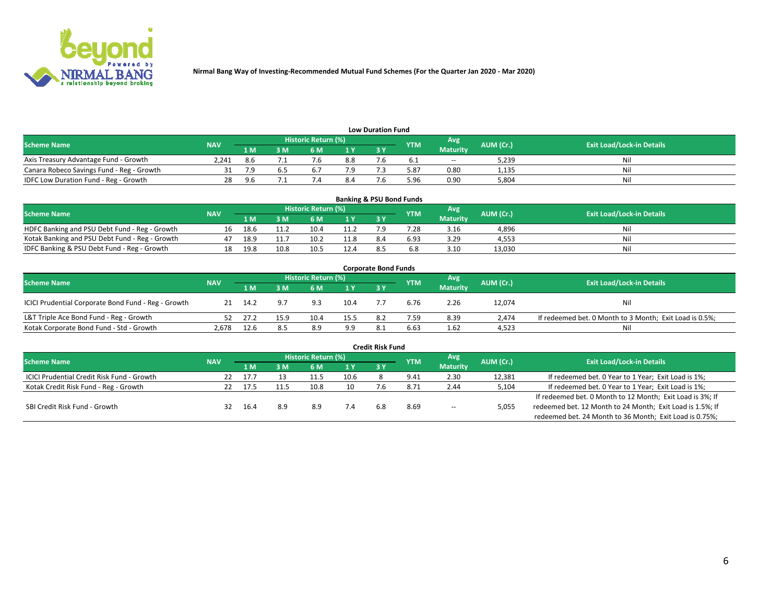

| <b>Low Duration Fund</b>                  |            |           |     |                            |     |  |            |                 |           |                                  |  |  |  |
|-------------------------------------------|------------|-----------|-----|----------------------------|-----|--|------------|-----------------|-----------|----------------------------------|--|--|--|
| <b>Scheme Name</b>                        | <b>NAV</b> |           |     | <b>Historic Return (%)</b> |     |  | <b>YTM</b> | Avg             | AUM (Cr.) | <b>Exit Load/Lock-in Details</b> |  |  |  |
|                                           |            | 1 M       | ያ M | 5 M                        | 1 V |  |            | <b>Maturity</b> |           |                                  |  |  |  |
| Axis Treasury Advantage Fund - Growth     | 2.241      | 8.6       |     |                            | 8.8 |  |            | $- -$           | 5,239     | Nil                              |  |  |  |
| Canara Robeco Savings Fund - Reg - Growth |            |           |     |                            |     |  | 5.87       | 0.80            | 1,135     | Nil                              |  |  |  |
| IDFC Low Duration Fund - Reg - Growth     | 28         | <b>96</b> |     |                            | 8.4 |  | 5.96       | 0.90            | 5.804     | Nil                              |  |  |  |

| <b>Banking &amp; PSU Bond Funds</b>            |            |      |      |                     |                |           |            |                 |           |                                  |  |  |  |
|------------------------------------------------|------------|------|------|---------------------|----------------|-----------|------------|-----------------|-----------|----------------------------------|--|--|--|
| <b>Scheme Name</b>                             | <b>NAV</b> |      |      | Historic Return (%) |                |           | <b>YTM</b> | Avg             | AUM (Cr.) | <b>Exit Load/Lock-in Details</b> |  |  |  |
|                                                |            | 1 M  | sм   | 6 M                 | 4 <sub>Y</sub> | <b>3Y</b> |            | <b>Maturity</b> |           |                                  |  |  |  |
| HDFC Banking and PSU Debt Fund - Reg - Growth  | 16         | 18.6 |      | 10.4                | 11.2           |           | 7.28       | 3.16            | 4,896     | Ni                               |  |  |  |
| Kotak Banking and PSU Debt Fund - Reg - Growth |            | 18.9 |      | 10.2                | 11.8           | 8.4       | 6.93       | 3.29            | 4,553     | Ni                               |  |  |  |
| IDFC Banking & PSU Debt Fund - Reg - Growth    |            | 19.8 | 10.8 | 10.5                | 12.4           |           |            | 3.10            | 13.030    | Ni                               |  |  |  |

| <b>Corporate Bond Funds</b>                         |            |      |                         |                     |      |    |            |                 |           |                                                         |  |  |  |  |
|-----------------------------------------------------|------------|------|-------------------------|---------------------|------|----|------------|-----------------|-----------|---------------------------------------------------------|--|--|--|--|
| <b>Scheme Name</b>                                  | <b>NAV</b> |      |                         | Historic Return (%) |      |    | <b>YTM</b> | Avg             | AUM (Cr.) | <b>Exit Load/Lock-in Details</b>                        |  |  |  |  |
|                                                     |            | 1 M  | $\overline{\mathsf{M}}$ | 6 M                 | 1Y   | 3V |            | <b>Maturity</b> |           |                                                         |  |  |  |  |
| ICICI Prudential Corporate Bond Fund - Reg - Growth | 21         | 14.2 | 9.7                     | 9.3                 | 10.4 |    | 6.76       | 2.26            | 12,074    | Nil                                                     |  |  |  |  |
| L&T Triple Ace Bond Fund - Reg - Growth             |            | 27.2 | 15.9                    | 10.4                | 15.5 |    | 7.59       | 8.39            | 2.474     | If redeemed bet. 0 Month to 3 Month; Exit Load is 0.5%; |  |  |  |  |
| Kotak Corporate Bond Fund - Std - Growth            | 2,678      | 12.6 | 8.5                     | 8.9                 | 9.9  |    | 6.63       | 1.62            | 4,523     | Nil                                                     |  |  |  |  |

|                                            |            |      |     |                     |      | <b>Credit Risk Fund</b> |               |                 |           |                                                           |
|--------------------------------------------|------------|------|-----|---------------------|------|-------------------------|---------------|-----------------|-----------|-----------------------------------------------------------|
| <b>Scheme Name</b>                         | <b>NAV</b> |      |     | Historic Return (%) |      |                         | <b>YTM</b>    | Avg             | AUM (Cr.) | <b>Exit Load/Lock-in Details</b>                          |
|                                            |            | 1 M  | : M | 6 M                 | 1 Y  | 3 Y                     |               | <b>Maturity</b> |           |                                                           |
| ICICI Prudential Credit Risk Fund - Growth | 22         | 17.7 |     |                     | 10.6 |                         | 9.41          | 2.30            | 12,381    | If redeemed bet. 0 Year to 1 Year; Exit Load is 1%;       |
| Kotak Credit Risk Fund - Reg - Growth      |            | 17.5 |     | 10.8                | 10   |                         | $8.7^{\circ}$ | 2.44            | 5,104     | If redeemed bet. 0 Year to 1 Year; Exit Load is 1%;       |
|                                            |            |      |     |                     |      |                         |               |                 |           | If redeemed bet. 0 Month to 12 Month; Exit Load is 3%; If |
| SBI Credit Risk Fund - Growth              |            | 16.4 | 8.9 | 8.9                 |      |                         | 8.69          | $\sim$ $\sim$   | 5,055     | redeemed bet. 12 Month to 24 Month; Exit Load is 1.5%; If |
|                                            |            |      |     |                     |      |                         |               |                 |           | redeemed bet. 24 Month to 36 Month; Exit Load is 0.75%;   |